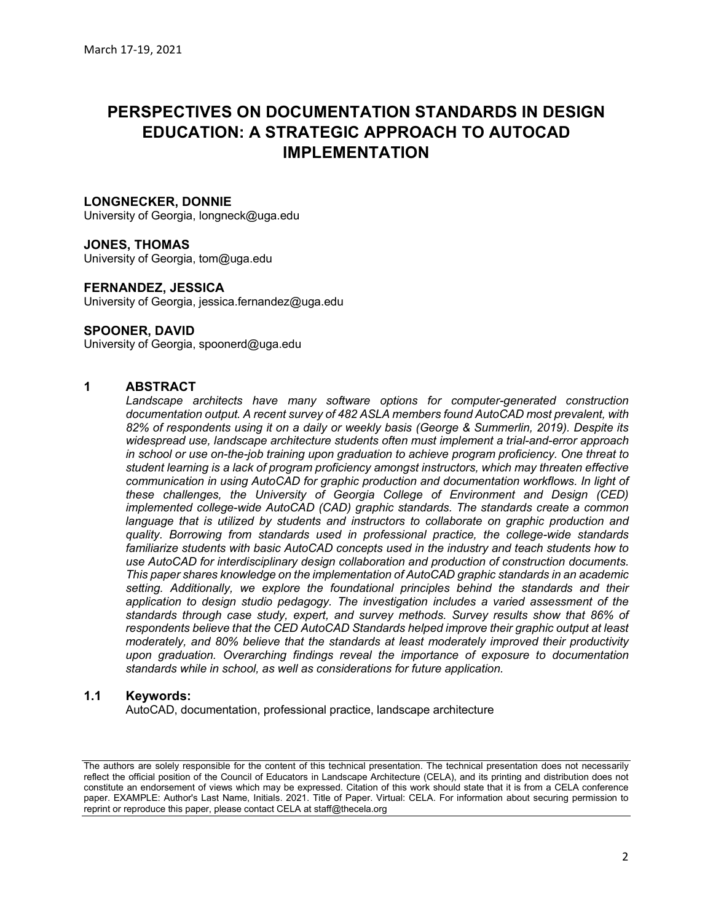## PERSPECTIVES ON DOCUMENTATION STANDARDS IN DESIGN EDUCATION: A STRATEGIC APPROACH TO AUTOCAD IMPLEMENTATION

## LONGNECKER, DONNIE

University of Georgia, longneck@uga.edu

#### JONES, THOMAS

University of Georgia, tom@uga.edu

#### FERNANDEZ, JESSICA

University of Georgia, jessica.fernandez@uga.edu

#### SPOONER, DAVID

University of Georgia, spoonerd@uga.edu

## 1 ABSTRACT

Landscape architects have many software options for computer-generated construction documentation output. A recent survey of 482 ASLA members found AutoCAD most prevalent, with 82% of respondents using it on a daily or weekly basis (George & Summerlin, 2019). Despite its widespread use, landscape architecture students often must implement a trial-and-error approach in school or use on-the-job training upon graduation to achieve program proficiency. One threat to student learning is a lack of program proficiency amongst instructors, which may threaten effective communication in using AutoCAD for graphic production and documentation workflows. In light of these challenges, the University of Georgia College of Environment and Design (CED) implemented college-wide AutoCAD (CAD) graphic standards. The standards create a common language that is utilized by students and instructors to collaborate on graphic production and quality. Borrowing from standards used in professional practice, the college-wide standards familiarize students with basic AutoCAD concepts used in the industry and teach students how to use AutoCAD for interdisciplinary design collaboration and production of construction documents. This paper shares knowledge on the implementation of AutoCAD graphic standards in an academic setting. Additionally, we explore the foundational principles behind the standards and their application to design studio pedagogy. The investigation includes a varied assessment of the standards through case study, expert, and survey methods. Survey results show that 86% of respondents believe that the CED AutoCAD Standards helped improve their graphic output at least moderately, and 80% believe that the standards at least moderately improved their productivity upon graduation. Overarching findings reveal the importance of exposure to documentation standards while in school, as well as considerations for future application.

#### 1.1 Keywords:

AutoCAD, documentation, professional practice, landscape architecture

The authors are solely responsible for the content of this technical presentation. The technical presentation does not necessarily reflect the official position of the Council of Educators in Landscape Architecture (CELA), and its printing and distribution does not constitute an endorsement of views which may be expressed. Citation of this work should state that it is from a CELA conference paper. EXAMPLE: Author's Last Name, Initials. 2021. Title of Paper. Virtual: CELA. For information about securing permission to reprint or reproduce this paper, please contact CELA at staff@thecela.org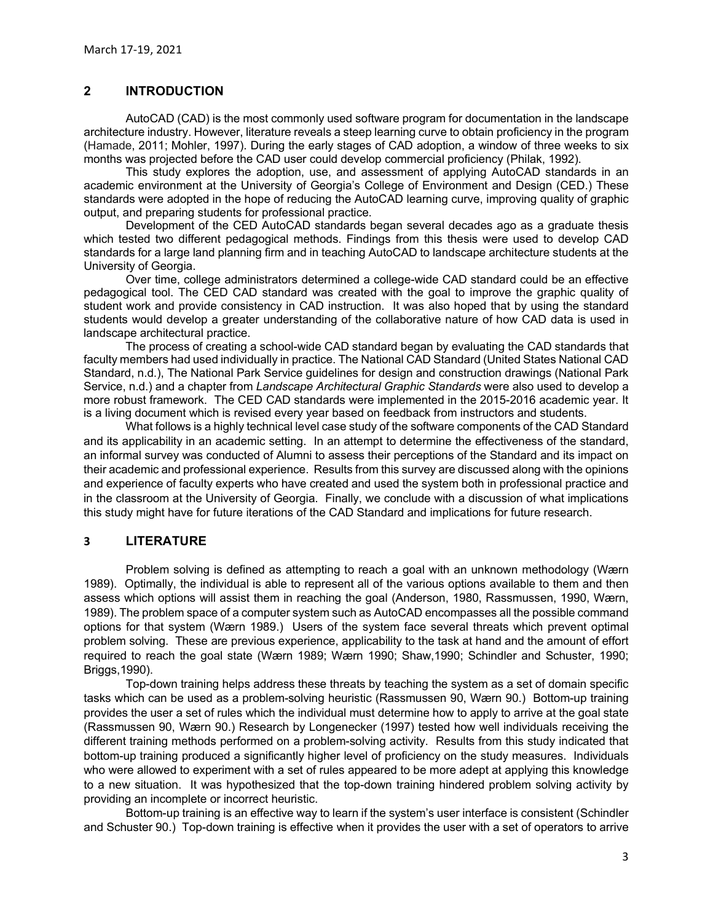## 2 INTRODUCTION

AutoCAD (CAD) is the most commonly used software program for documentation in the landscape architecture industry. However, literature reveals a steep learning curve to obtain proficiency in the program March 17-19, 2021<br> **INTRODUCTION**<br>
AutoCAD (CAD) is the most commonly used software program for documentation in the landscape<br>
architecture industry. However, literature reveals a steep learning curve to obtain proficienc months was projected before the CAD user could develop commercial proficiency (Philak, 1992).

This study explores the adoption, use, and assessment of applying AutoCAD standards in an academic environment at the University of Georgia's College of Environment and Design (CED.) These standards were adopted in the hope of reducing the AutoCAD learning curve, improving quality of graphic output, and preparing students for professional practice.

Development of the CED AutoCAD standards began several decades ago as a graduate thesis which tested two different pedagogical methods. Findings from this thesis were used to develop CAD standards for a large land planning firm and in teaching AutoCAD to landscape architecture students at the University of Georgia.

Over time, college administrators determined a college-wide CAD standard could be an effective pedagogical tool. The CED CAD standard was created with the goal to improve the graphic quality of student work and provide consistency in CAD instruction. It was also hoped that by using the standard students would develop a greater understanding of the collaborative nature of how CAD data is used in landscape architectural practice.

The process of creating a school-wide CAD standard began by evaluating the CAD standards that faculty members had used individually in practice. The National CAD Standard (United States National CAD Standard, n.d.), The National Park Service guidelines for design and construction drawings (National Park Service, n.d.) and a chapter from Landscape Architectural Graphic Standards were also used to develop a more robust framework. The CED CAD standards were implemented in the 2015-2016 academic year. It is a living document which is revised every year based on feedback from instructors and students.

What follows is a highly technical level case study of the software components of the CAD Standard and its applicability in an academic setting. In an attempt to determine the effectiveness of the standard, an informal survey was conducted of Alumni to assess their perceptions of the Standard and its impact on their academic and professional experience. Results from this survey are discussed along with the opinions and experience of faculty experts who have created and used the system both in professional practice and in the classroom at the University of Georgia. Finally, we conclude with a discussion of what implications this study might have for future iterations of the CAD Standard and implications for future research.

## 3 LITERATURE

Problem solving is defined as attempting to reach a goal with an unknown methodology (Wærn 1989). Optimally, the individual is able to represent all of the various options available to them and then assess which options will assist them in reaching the goal (Anderson, 1980, Rassmussen, 1990, Wærn, 1989). The problem space of a computer system such as AutoCAD encompasses all the possible command options for that system (Wærn 1989.) Users of the system face several threats which prevent optimal problem solving. These are previous experience, applicability to the task at hand and the amount of effort required to reach the goal state (Wærn 1989; Wærn 1990; Shaw,1990; Schindler and Schuster, 1990; Briggs,1990).

Top-down training helps address these threats by teaching the system as a set of domain specific tasks which can be used as a problem-solving heuristic (Rassmussen 90, Wærn 90.) Bottom-up training provides the user a set of rules which the individual must determine how to apply to arrive at the goal state (Rassmussen 90, Wærn 90.) Research by Longenecker (1997) tested how well individuals receiving the different training methods performed on a problem-solving activity. Results from this study indicated that bottom-up training produced a significantly higher level of proficiency on the study measures. Individuals who were allowed to experiment with a set of rules appeared to be more adept at applying this knowledge to a new situation. It was hypothesized that the top-down training hindered problem solving activity by providing an incomplete or incorrect heuristic.

Bottom-up training is an effective way to learn if the system's user interface is consistent (Schindler and Schuster 90.) Top-down training is effective when it provides the user with a set of operators to arrive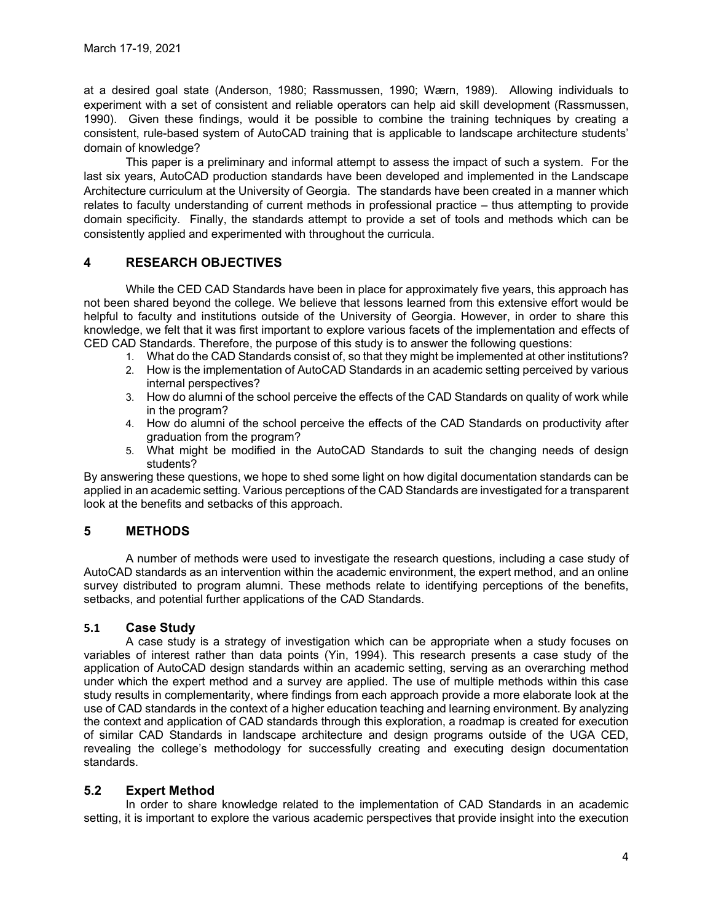at a desired goal state (Anderson, 1980; Rassmussen, 1990; Wærn, 1989). Allowing individuals to experiment with a set of consistent and reliable operators can help aid skill development (Rassmussen, 1990). Given these findings, would it be possible to combine the training techniques by creating a consistent, rule-based system of AutoCAD training that is applicable to landscape architecture students' domain of knowledge?

This paper is a preliminary and informal attempt to assess the impact of such a system. For the last six years, AutoCAD production standards have been developed and implemented in the Landscape Architecture curriculum at the University of Georgia. The standards have been created in a manner which relates to faculty understanding of current methods in professional practice – thus attempting to provide domain specificity. Finally, the standards attempt to provide a set of tools and methods which can be consistently applied and experimented with throughout the curricula.

## 4 RESEARCH OBJECTIVES

While the CED CAD Standards have been in place for approximately five years, this approach has not been shared beyond the college. We believe that lessons learned from this extensive effort would be helpful to faculty and institutions outside of the University of Georgia. However, in order to share this knowledge, we felt that it was first important to explore various facets of the implementation and effects of CED CAD Standards. Therefore, the purpose of this study is to answer the following questions:

- 1. What do the CAD Standards consist of, so that they might be implemented at other institutions?
- 2. How is the implementation of AutoCAD Standards in an academic setting perceived by various internal perspectives?
- 3. How do alumni of the school perceive the effects of the CAD Standards on quality of work while in the program?
- 4. How do alumni of the school perceive the effects of the CAD Standards on productivity after graduation from the program?
- 5. What might be modified in the AutoCAD Standards to suit the changing needs of design students?

By answering these questions, we hope to shed some light on how digital documentation standards can be applied in an academic setting. Various perceptions of the CAD Standards are investigated for a transparent look at the benefits and setbacks of this approach.

## 5 METHODS

A number of methods were used to investigate the research questions, including a case study of AutoCAD standards as an intervention within the academic environment, the expert method, and an online survey distributed to program alumni. These methods relate to identifying perceptions of the benefits, setbacks, and potential further applications of the CAD Standards.

## 5.1 Case Study

A case study is a strategy of investigation which can be appropriate when a study focuses on variables of interest rather than data points (Yin, 1994). This research presents a case study of the application of AutoCAD design standards within an academic setting, serving as an overarching method under which the expert method and a survey are applied. The use of multiple methods within this case study results in complementarity, where findings from each approach provide a more elaborate look at the use of CAD standards in the context of a higher education teaching and learning environment. By analyzing the context and application of CAD standards through this exploration, a roadmap is created for execution of similar CAD Standards in landscape architecture and design programs outside of the UGA CED, revealing the college's methodology for successfully creating and executing design documentation standards.

## 5.2 Expert Method

In order to share knowledge related to the implementation of CAD Standards in an academic setting, it is important to explore the various academic perspectives that provide insight into the execution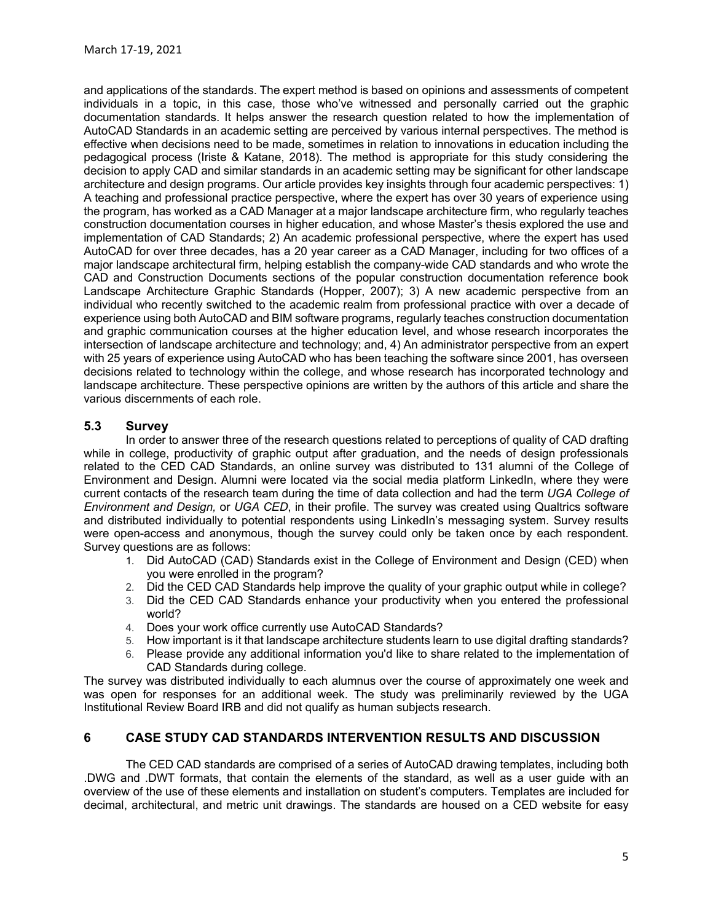and applications of the standards. The expert method is based on opinions and assessments of competent individuals in a topic, in this case, those who've witnessed and personally carried out the graphic documentation standards. It helps answer the research question related to how the implementation of AutoCAD Standards in an academic setting are perceived by various internal perspectives. The method is effective when decisions need to be made, sometimes in relation to innovations in education including the pedagogical process (Iriste & Katane, 2018). The method is appropriate for this study considering the decision to apply CAD and similar standards in an academic setting may be significant for other landscape architecture and design programs. Our article provides key insights through four academic perspectives: 1) A teaching and professional practice perspective, where the expert has over 30 years of experience using the program, has worked as a CAD Manager at a major landscape architecture firm, who regularly teaches construction documentation courses in higher education, and whose Master's thesis explored the use and implementation of CAD Standards; 2) An academic professional perspective, where the expert has used AutoCAD for over three decades, has a 20 year career as a CAD Manager, including for two offices of a major landscape architectural firm, helping establish the company-wide CAD standards and who wrote the CAD and Construction Documents sections of the popular construction documentation reference book Landscape Architecture Graphic Standards (Hopper, 2007); 3) A new academic perspective from an individual who recently switched to the academic realm from professional practice with over a decade of experience using both AutoCAD and BIM software programs, regularly teaches construction documentation and graphic communication courses at the higher education level, and whose research incorporates the intersection of landscape architecture and technology; and, 4) An administrator perspective from an expert with 25 years of experience using AutoCAD who has been teaching the software since 2001, has overseen decisions related to technology within the college, and whose research has incorporated technology and landscape architecture. These perspective opinions are written by the authors of this article and share the various discernments of each role.

## 5.3 Survey

In order to answer three of the research questions related to perceptions of quality of CAD drafting while in college, productivity of graphic output after graduation, and the needs of design professionals related to the CED CAD Standards, an online survey was distributed to 131 alumni of the College of Environment and Design. Alumni were located via the social media platform LinkedIn, where they were current contacts of the research team during the time of data collection and had the term UGA College of Environment and Design, or UGA CED, in their profile. The survey was created using Qualtrics software and distributed individually to potential respondents using LinkedIn's messaging system. Survey results were open-access and anonymous, though the survey could only be taken once by each respondent. Survey questions are as follows:

- 1. Did AutoCAD (CAD) Standards exist in the College of Environment and Design (CED) when you were enrolled in the program?
- 2. Did the CED CAD Standards help improve the quality of your graphic output while in college?
- 3. Did the CED CAD Standards enhance your productivity when you entered the professional world?
- 4. Does your work office currently use AutoCAD Standards?
- 5. How important is it that landscape architecture students learn to use digital drafting standards?
- 6. Please provide any additional information you'd like to share related to the implementation of CAD Standards during college.

The survey was distributed individually to each alumnus over the course of approximately one week and was open for responses for an additional week. The study was preliminarily reviewed by the UGA Institutional Review Board IRB and did not qualify as human subjects research.

## 6 CASE STUDY CAD STANDARDS INTERVENTION RESULTS AND DISCUSSION

The CED CAD standards are comprised of a series of AutoCAD drawing templates, including both .DWG and .DWT formats, that contain the elements of the standard, as well as a user guide with an overview of the use of these elements and installation on student's computers. Templates are included for decimal, architectural, and metric unit drawings. The standards are housed on a CED website for easy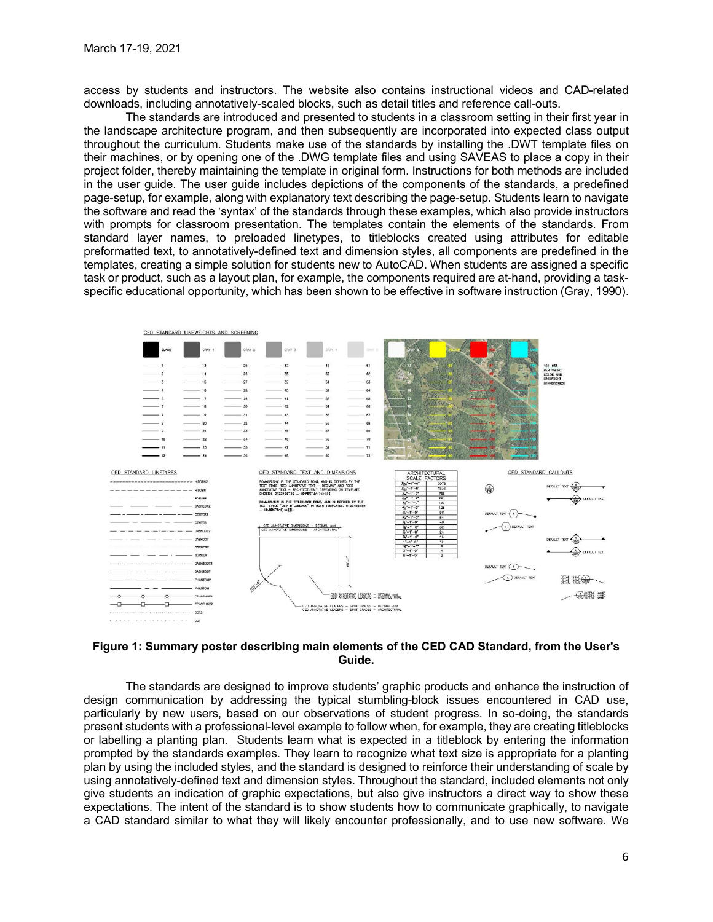access by students and instructors. The website also contains instructional videos and CAD-related downloads, including annotatively-scaled blocks, such as detail titles and reference call-outs.

The standards are introduced and presented to students in a classroom setting in their first year in the landscape architecture program, and then subsequently are incorporated into expected class output throughout the curriculum. Students make use of the standards by installing the .DWT template files on their machines, or by opening one of the .DWG template files and using SAVEAS to place a copy in their project folder, thereby maintaining the template in original form. Instructions for both methods are included in the user guide. The user guide includes depictions of the components of the standards, a predefined page-setup, for example, along with explanatory text describing the page-setup. Students learn to navigate the software and read the 'syntax' of the standards through these examples, which also provide instructors with prompts for classroom presentation. The templates contain the elements of the standards. From standard layer names, to preloaded linetypes, to titleblocks created using attributes for editable preformatted text, to annotatively-defined text and dimension styles, all components are predefined in the templates, creating a simple solution for students new to AutoCAD. When students are assigned a specific task or product, such as a layout plan, for example, the components required are at-hand, providing a taskspecific educational opportunity, which has been shown to be effective in software instruction (Gray, 1990).



#### Figure 1: Summary poster describing main elements of the CED CAD Standard, from the User's Guide.

The standards are designed to improve students' graphic products and enhance the instruction of design communication by addressing the typical stumbling-block issues encountered in CAD use, particularly by new users, based on our observations of student progress. In so-doing, the standards present students with a professional-level example to follow when, for example, they are creating titleblocks or labelling a planting plan. Students learn what is expected in a titleblock by entering the information prompted by the standards examples. They learn to recognize what text size is appropriate for a planting plan by using the included styles, and the standard is designed to reinforce their understanding of scale by using annotatively-defined text and dimension styles. Throughout the standard, included elements not only give students an indication of graphic expectations, but also give instructors a direct way to show these expectations. The intent of the standard is to show students how to communicate graphically, to navigate a CAD standard similar to what they will likely encounter professionally, and to use new software. We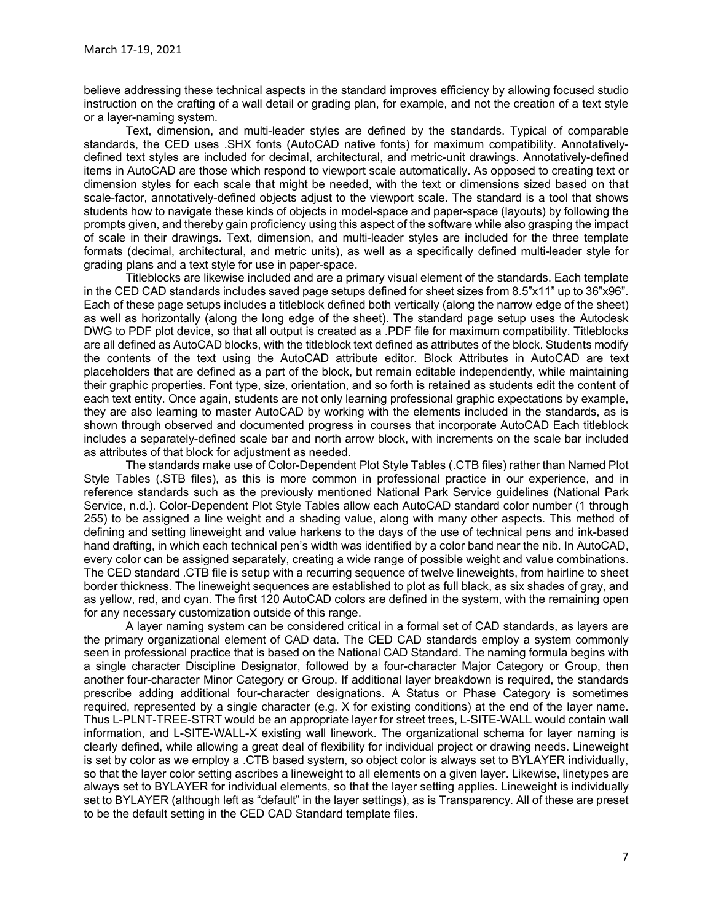believe addressing these technical aspects in the standard improves efficiency by allowing focused studio instruction on the crafting of a wall detail or grading plan, for example, and not the creation of a text style or a layer-naming system.

Text, dimension, and multi-leader styles are defined by the standards. Typical of comparable standards, the CED uses .SHX fonts (AutoCAD native fonts) for maximum compatibility. Annotativelydefined text styles are included for decimal, architectural, and metric-unit drawings. Annotatively-defined items in AutoCAD are those which respond to viewport scale automatically. As opposed to creating text or dimension styles for each scale that might be needed, with the text or dimensions sized based on that scale-factor, annotatively-defined objects adjust to the viewport scale. The standard is a tool that shows students how to navigate these kinds of objects in model-space and paper-space (layouts) by following the prompts given, and thereby gain proficiency using this aspect of the software while also grasping the impact of scale in their drawings. Text, dimension, and multi-leader styles are included for the three template formats (decimal, architectural, and metric units), as well as a specifically defined multi-leader style for grading plans and a text style for use in paper-space.

Titleblocks are likewise included and are a primary visual element of the standards. Each template in the CED CAD standards includes saved page setups defined for sheet sizes from 8.5"x11" up to 36"x96". Each of these page setups includes a titleblock defined both vertically (along the narrow edge of the sheet) as well as horizontally (along the long edge of the sheet). The standard page setup uses the Autodesk DWG to PDF plot device, so that all output is created as a .PDF file for maximum compatibility. Titleblocks are all defined as AutoCAD blocks, with the titleblock text defined as attributes of the block. Students modify the contents of the text using the AutoCAD attribute editor. Block Attributes in AutoCAD are text placeholders that are defined as a part of the block, but remain editable independently, while maintaining their graphic properties. Font type, size, orientation, and so forth is retained as students edit the content of each text entity. Once again, students are not only learning professional graphic expectations by example, they are also learning to master AutoCAD by working with the elements included in the standards, as is shown through observed and documented progress in courses that incorporate AutoCAD Each titleblock includes a separately-defined scale bar and north arrow block, with increments on the scale bar included as attributes of that block for adjustment as needed.

The standards make use of Color-Dependent Plot Style Tables (.CTB files) rather than Named Plot Style Tables (.STB files), as this is more common in professional practice in our experience, and in reference standards such as the previously mentioned National Park Service guidelines (National Park Service, n.d.). Color-Dependent Plot Style Tables allow each AutoCAD standard color number (1 through 255) to be assigned a line weight and a shading value, along with many other aspects. This method of defining and setting lineweight and value harkens to the days of the use of technical pens and ink-based hand drafting, in which each technical pen's width was identified by a color band near the nib. In AutoCAD, every color can be assigned separately, creating a wide range of possible weight and value combinations. The CED standard .CTB file is setup with a recurring sequence of twelve lineweights, from hairline to sheet border thickness. The lineweight sequences are established to plot as full black, as six shades of gray, and as yellow, red, and cyan. The first 120 AutoCAD colors are defined in the system, with the remaining open for any necessary customization outside of this range.

A layer naming system can be considered critical in a formal set of CAD standards, as layers are the primary organizational element of CAD data. The CED CAD standards employ a system commonly seen in professional practice that is based on the National CAD Standard. The naming formula begins with a single character Discipline Designator, followed by a four-character Major Category or Group, then another four-character Minor Category or Group. If additional layer breakdown is required, the standards prescribe adding additional four-character designations. A Status or Phase Category is sometimes required, represented by a single character (e.g. X for existing conditions) at the end of the layer name. Thus L-PLNT-TREE-STRT would be an appropriate layer for street trees, L-SITE-WALL would contain wall information, and L-SITE-WALL-X existing wall linework. The organizational schema for layer naming is clearly defined, while allowing a great deal of flexibility for individual project or drawing needs. Lineweight is set by color as we employ a .CTB based system, so object color is always set to BYLAYER individually, so that the layer color setting ascribes a lineweight to all elements on a given layer. Likewise, linetypes are always set to BYLAYER for individual elements, so that the layer setting applies. Lineweight is individually set to BYLAYER (although left as "default" in the layer settings), as is Transparency. All of these are preset to be the default setting in the CED CAD Standard template files.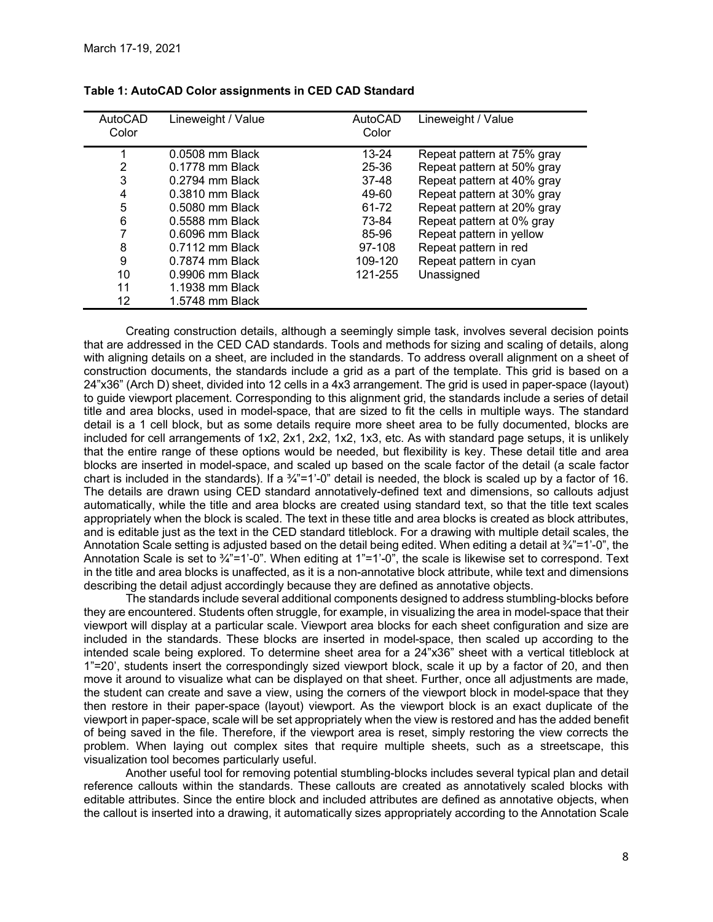| March 17-19, 2021 |                                                        |         |                            |
|-------------------|--------------------------------------------------------|---------|----------------------------|
|                   |                                                        |         |                            |
|                   |                                                        |         |                            |
|                   |                                                        |         |                            |
|                   |                                                        |         |                            |
|                   |                                                        |         |                            |
|                   |                                                        |         |                            |
|                   |                                                        |         |                            |
|                   |                                                        |         |                            |
|                   |                                                        |         |                            |
|                   |                                                        |         |                            |
|                   | Table 1: AutoCAD Color assignments in CED CAD Standard |         |                            |
| AutoCAD           | Lineweight / Value                                     | AutoCAD | Lineweight / Value         |
| Color             |                                                        | Color   |                            |
|                   |                                                        |         |                            |
|                   | 0.0508 mm Black                                        | 13-24   | Repeat pattern at 75% gray |
| 1                 |                                                        | 25-36   | Repeat pattern at 50% gray |
| 2                 | 0.1778 mm Black                                        |         | Repeat pattern at 40% gray |
| 3                 | 0.2794 mm Black                                        | 37-48   |                            |
| 4                 | 0.3810 mm Black                                        | 49-60   | Repeat pattern at 30% gray |
| 5                 | 0.5080 mm Black                                        | 61-72   | Repeat pattern at 20% gray |
| 6                 | 0.5588 mm Black                                        | 73-84   | Repeat pattern at 0% gray  |
| 7                 | 0.6096 mm Black                                        | 85-96   | Repeat pattern in yellow   |
| 8                 | 0.7112 mm Black                                        | 97-108  | Repeat pattern in red      |
| 9                 | 0.7874 mm Black                                        | 109-120 |                            |
|                   |                                                        |         | Repeat pattern in cyan     |
| 10<br>11          | 0.9906 mm Black<br>1.1938 mm Black                     | 121-255 | Unassigned                 |

#### Table 1: AutoCAD Color assignments in CED CAD Standard

Creating construction details, although a seemingly simple task, involves several decision points that are addressed in the CED CAD standards. Tools and methods for sizing and scaling of details, along with aligning details on a sheet, are included in the standards. To address overall alignment on a sheet of construction documents, the standards include a grid as a part of the template. This grid is based on a 24"x36" (Arch D) sheet, divided into 12 cells in a 4x3 arrangement. The grid is used in paper-space (layout) to guide viewport placement. Corresponding to this alignment grid, the standards include a series of detail title and area blocks, used in model-space, that are sized to fit the cells in multiple ways. The standard detail is a 1 cell block, but as some details require more sheet area to be fully documented, blocks are included for cell arrangements of 1x2, 2x1, 2x2, 1x2, 1x3, etc. As with standard page setups, it is unlikely that the entire range of these options would be needed, but flexibility is key. These detail title and area blocks are inserted in model-space, and scaled up based on the scale factor of the detail (a scale factor chart is included in the standards). If a  $\frac{3}{4}$ "=1'-0" detail is needed, the block is scaled up by a factor of 16. The details are drawn using CED standard annotatively-defined text and dimensions, so callouts adjust automatically, while the title and area blocks are created using standard text, so that the title text scales appropriately when the block is scaled. The text in these title and area blocks is created as block attributes, and is editable just as the text in the CED standard titleblock. For a drawing with multiple detail scales, the Annotation Scale setting is adjusted based on the detail being edited. When editing a detail at  $\frac{3}{4}$ "=1'-0", the Annotation Scale is set to 3/<sub>4</sub>"=1'-0". When editing at 1"=1'-0", the scale is likewise set to correspond. Text in the title and area blocks is unaffected, as it is a non-annotative block attribute, while text and dimensions describing the detail adjust accordingly because they are defined as annotative objects.

The standards include several additional components designed to address stumbling-blocks before they are encountered. Students often struggle, for example, in visualizing the area in model-space that their viewport will display at a particular scale. Viewport area blocks for each sheet configuration and size are included in the standards. These blocks are inserted in model-space, then scaled up according to the intended scale being explored. To determine sheet area for a 24"x36" sheet with a vertical titleblock at 1"=20', students insert the correspondingly sized viewport block, scale it up by a factor of 20, and then move it around to visualize what can be displayed on that sheet. Further, once all adjustments are made, the student can create and save a view, using the corners of the viewport block in model-space that they then restore in their paper-space (layout) viewport. As the viewport block is an exact duplicate of the viewport in paper-space, scale will be set appropriately when the view is restored and has the added benefit of being saved in the file. Therefore, if the viewport area is reset, simply restoring the view corrects the problem. When laying out complex sites that require multiple sheets, such as a streetscape, this visualization tool becomes particularly useful.

Another useful tool for removing potential stumbling-blocks includes several typical plan and detail reference callouts within the standards. These callouts are created as annotatively scaled blocks with editable attributes. Since the entire block and included attributes are defined as annotative objects, when the callout is inserted into a drawing, it automatically sizes appropriately according to the Annotation Scale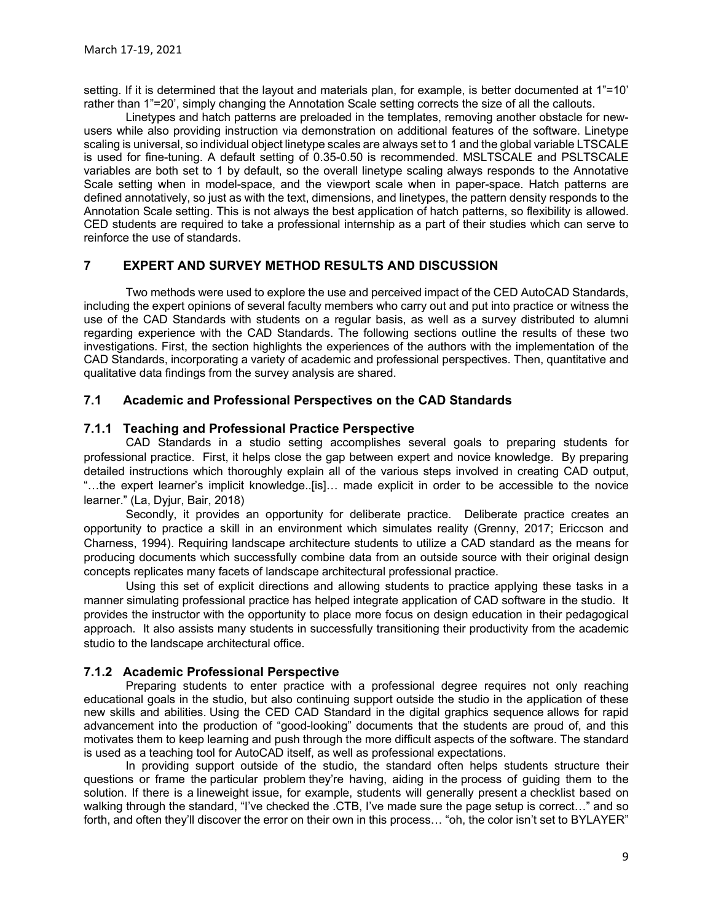setting. If it is determined that the layout and materials plan, for example, is better documented at 1"=10' rather than 1"=20', simply changing the Annotation Scale setting corrects the size of all the callouts.

Linetypes and hatch patterns are preloaded in the templates, removing another obstacle for newusers while also providing instruction via demonstration on additional features of the software. Linetype scaling is universal, so individual object linetype scales are always set to 1 and the global variable LTSCALE is used for fine-tuning. A default setting of 0.35-0.50 is recommended. MSLTSCALE and PSLTSCALE variables are both set to 1 by default, so the overall linetype scaling always responds to the Annotative Scale setting when in model-space, and the viewport scale when in paper-space. Hatch patterns are defined annotatively, so just as with the text, dimensions, and linetypes, the pattern density responds to the Annotation Scale setting. This is not always the best application of hatch patterns, so flexibility is allowed. CED students are required to take a professional internship as a part of their studies which can serve to reinforce the use of standards.

## 7 EXPERT AND SURVEY METHOD RESULTS AND DISCUSSION

Two methods were used to explore the use and perceived impact of the CED AutoCAD Standards, including the expert opinions of several faculty members who carry out and put into practice or witness the use of the CAD Standards with students on a regular basis, as well as a survey distributed to alumni regarding experience with the CAD Standards. The following sections outline the results of these two investigations. First, the section highlights the experiences of the authors with the implementation of the CAD Standards, incorporating a variety of academic and professional perspectives. Then, quantitative and qualitative data findings from the survey analysis are shared.

## 7.1 Academic and Professional Perspectives on the CAD Standards

## 7.1.1 Teaching and Professional Practice Perspective

CAD Standards in a studio setting accomplishes several goals to preparing students for professional practice. First, it helps close the gap between expert and novice knowledge. By preparing detailed instructions which thoroughly explain all of the various steps involved in creating CAD output, "…the expert learner's implicit knowledge..[is]… made explicit in order to be accessible to the novice learner." (La, Dyjur, Bair, 2018)

Secondly, it provides an opportunity for deliberate practice. Deliberate practice creates an opportunity to practice a skill in an environment which simulates reality (Grenny, 2017; Ericcson and Charness, 1994). Requiring landscape architecture students to utilize a CAD standard as the means for producing documents which successfully combine data from an outside source with their original design concepts replicates many facets of landscape architectural professional practice.

Using this set of explicit directions and allowing students to practice applying these tasks in a manner simulating professional practice has helped integrate application of CAD software in the studio. It provides the instructor with the opportunity to place more focus on design education in their pedagogical approach. It also assists many students in successfully transitioning their productivity from the academic studio to the landscape architectural office.

## 7.1.2 Academic Professional Perspective

Preparing students to enter practice with a professional degree requires not only reaching educational goals in the studio, but also continuing support outside the studio in the application of these new skills and abilities. Using the CED CAD Standard in the digital graphics sequence allows for rapid advancement into the production of "good-looking" documents that the students are proud of, and this motivates them to keep learning and push through the more difficult aspects of the software. The standard is used as a teaching tool for AutoCAD itself, as well as professional expectations.

In providing support outside of the studio, the standard often helps students structure their questions or frame the particular problem they're having, aiding in the process of guiding them to the solution. If there is a lineweight issue, for example, students will generally present a checklist based on walking through the standard, "I've checked the .CTB, I've made sure the page setup is correct…" and so forth, and often they'll discover the error on their own in this process... "oh, the color isn't set to BYLAYER"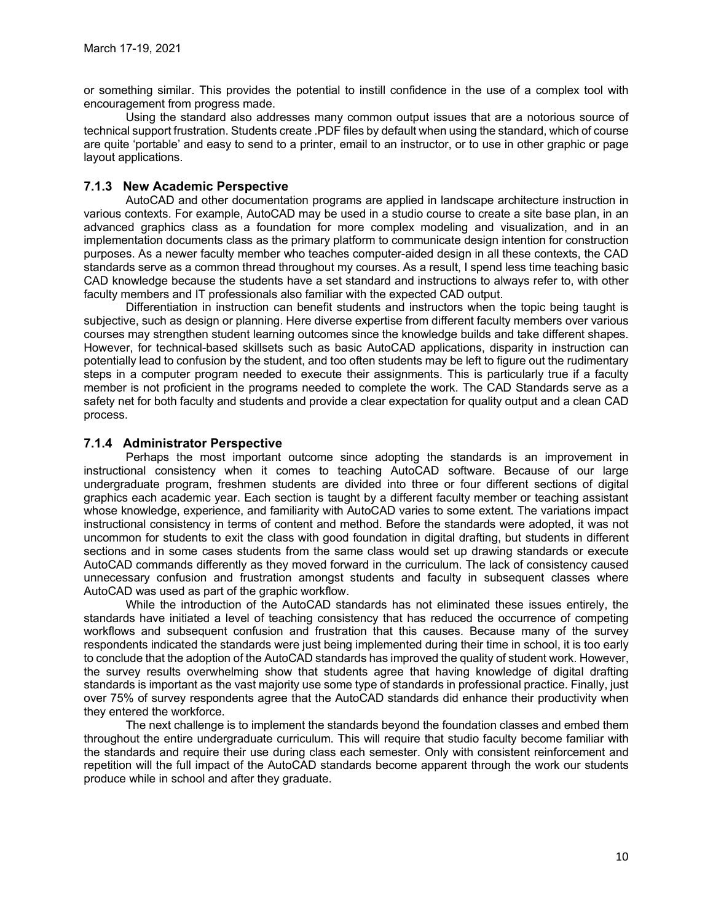or something similar. This provides the potential to instill confidence in the use of a complex tool with

March 17-19, 2021<br>or something similar. This provides the potential to instill confidence in the use of a complex tool with<br>encouragement from progress made.<br>Using the standard also addresses many common output issues that Using the standard also addresses many common output issues that are a notorious source of technical support frustration. Students create .PDF files by default when using the standard, which of course are quite 'portable' and easy to send to a printer, email to an instructor, or to use in other graphic or page layout applications.

## 7.1.3 New Academic Perspective

AutoCAD and other documentation programs are applied in landscape architecture instruction in various contexts. For example, AutoCAD may be used in a studio course to create a site base plan, in an advanced graphics class as a foundation for more complex modeling and visualization, and in an implementation documents class as the primary platform to communicate design intention for construction purposes. As a newer faculty member who teaches computer-aided design in all these contexts, the CAD standards serve as a common thread throughout my courses. As a result, I spend less time teaching basic CAD knowledge because the students have a set standard and instructions to always refer to, with other faculty members and IT professionals also familiar with the expected CAD output.

Differentiation in instruction can benefit students and instructors when the topic being taught is subjective, such as design or planning. Here diverse expertise from different faculty members over various courses may strengthen student learning outcomes since the knowledge builds and take different shapes. However, for technical-based skillsets such as basic AutoCAD applications, disparity in instruction can potentially lead to confusion by the student, and too often students may be left to figure out the rudimentary steps in a computer program needed to execute their assignments. This is particularly true if a faculty member is not proficient in the programs needed to complete the work. The CAD Standards serve as a safety net for both faculty and students and provide a clear expectation for quality output and a clean CAD process.

## 7.1.4 Administrator Perspective

Perhaps the most important outcome since adopting the standards is an improvement in instructional consistency when it comes to teaching AutoCAD software. Because of our large undergraduate program, freshmen students are divided into three or four different sections of digital graphics each academic year. Each section is taught by a different faculty member or teaching assistant whose knowledge, experience, and familiarity with AutoCAD varies to some extent. The variations impact instructional consistency in terms of content and method. Before the standards were adopted, it was not uncommon for students to exit the class with good foundation in digital drafting, but students in different sections and in some cases students from the same class would set up drawing standards or execute AutoCAD commands differently as they moved forward in the curriculum. The lack of consistency caused unnecessary confusion and frustration amongst students and faculty in subsequent classes where AutoCAD was used as part of the graphic workflow.

While the introduction of the AutoCAD standards has not eliminated these issues entirely, the standards have initiated a level of teaching consistency that has reduced the occurrence of competing workflows and subsequent confusion and frustration that this causes. Because many of the survey respondents indicated the standards were just being implemented during their time in school, it is too early to conclude that the adoption of the AutoCAD standards has improved the quality of student work. However, the survey results overwhelming show that students agree that having knowledge of digital drafting standards is important as the vast majority use some type of standards in professional practice. Finally, just over 75% of survey respondents agree that the AutoCAD standards did enhance their productivity when they entered the workforce.

The next challenge is to implement the standards beyond the foundation classes and embed them throughout the entire undergraduate curriculum. This will require that studio faculty become familiar with the standards and require their use during class each semester. Only with consistent reinforcement and repetition will the full impact of the AutoCAD standards become apparent through the work our students produce while in school and after they graduate.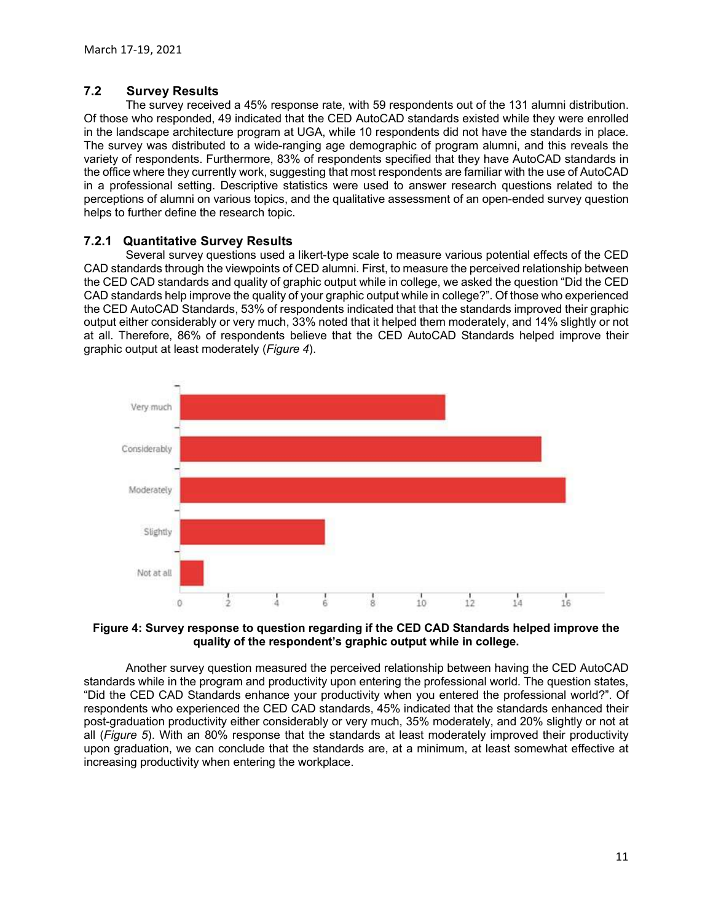## 7.2 Survey Results

The survey received a 45% response rate, with 59 respondents out of the 131 alumni distribution. Of those who responded, 49 indicated that the CED AutoCAD standards existed while they were enrolled **Survey Results**<br> **Survey Results**<br>
The survey received a 45% response rate, with 59 respondents out of the 131 alumni distribution.<br>
Of those who responded, 49 indicated that the CED AutoCAD standards existed while they w The survey was distributed to a wide-ranging age demographic of program alumni, and this reveals the variety of respondents. Furthermore, 83% of respondents specified that they have AutoCAD standards in the office where they currently work, suggesting that most respondents are familiar with the use of AutoCAD in a professional setting. Descriptive statistics were used to answer research questions related to the perceptions of alumni on various topics, and the qualitative assessment of an open-ended survey question helps to further define the research topic. March 17-19, 2021<br>
The survey Results<br>
The survey recived a 45% response rate, with 59 respondents out of the 131 alumni distribution.<br>
Of those who responded, 49 indicated that the CED AutoCAD standards existed while they March 17-19, 2021<br>
T.2 Survey Results<br>
T.2 Survey Results<br>
Cf those who responded, 49 indicated that the CED AutoCAD standards existed while they were enrolled<br>
the line survey was distributed to a wide-ranging age demogr March 17-19, 2021<br>
The survey Results<br>
The survey received a 45% response rate, with 59 respondents out of the 131 alumni distribution.<br>
Of those who responded, 49 indicated that the CED AutoCAD standards existed while the

## 7.2.1 Quantitative Survey Results

Several survey questions used a likert-type scale to measure various potential effects of the CED<br>CAD standards through the viewpoints of CED alumni. First, to measure the perceived relationship between the CED CAD standards and quality of graphic output while in college, we asked the question "Did the CED CAD standards help improve the quality of your graphic output while in college?". Of those who experienced the<br>the CED AutoCAD Standards, 53% of respondents indicated that that the standards improved their graphic output either considerably or very much, 33% noted that it helped them moderately, and 14% slightly or not at all. Therefore, 86% of respondents believe that the CED AutoCAD Standards helped improve their



# quality of the respondent's graphic output while in college.

Another survey question measured the perceived relationship between having the CED AutoCAD "Did the CED CAD Standards enhance your productivity when you entered the professional world?". Of respondents who experienced the CED CAD standards, 45% indicated that the standards enhanced their post-graduation productivity either considerably or very much, 35% moderately, and 20% slightly or not at upon graduation, we can conclude that the standards are, at a minimum, at least somewhat effective at increasing productivity when entering the workplace.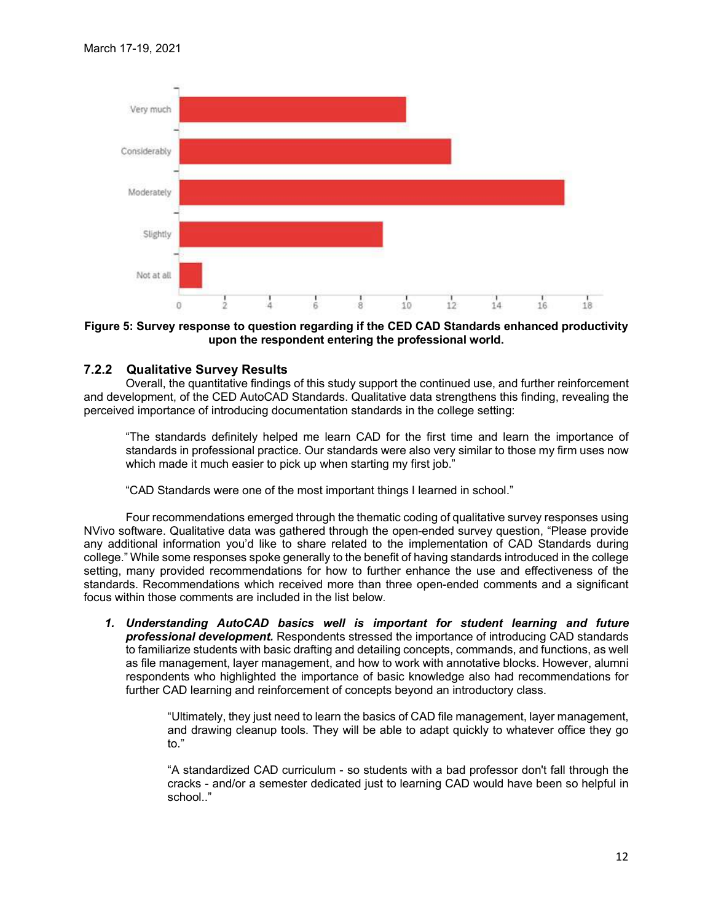

#### Figure 5: Survey response to question regarding if the CED CAD Standards enhanced productivity upon the respondent entering the professional world.

## 7.2.2 Qualitative Survey Results

Overall, the quantitative findings of this study support the continued use, and further reinforcement and development, of the CED AutoCAD Standards. Qualitative data strengthens this finding, revealing the perceived importance of introducing documentation standards in the college setting:

"The standards definitely helped me learn CAD for the first time and learn the importance of standards in professional practice. Our standards were also very similar to those my firm uses now which made it much easier to pick up when starting my first job."

"CAD Standards were one of the most important things I learned in school."

Net at all<br>
Net at all<br>  $\frac{1}{2}$ <br>  $\frac{1}{4}$ <br>  $\frac{1}{8}$ <br>
Figure 5: Survey response to question regarding if the CED CAD Standards enhanced productivity<br>  $\frac{1}{2}$ <br>
CALC and that quantitative formings of this study support any additional information you'd like to share related to the implementation of CAD Standards during college."<br>College." While some responses spoke generally to the benefit of having standards introduced in the college Net at all<br>
Figure 5: Survey response to question regarding if the CED CAD Standards enhanced productivity<br>
upon the respondent entering the professional world.<br>
7.2.2 Qualitative Survey Results<br>
overall, the quantitative Set at all the setting of the setting of the CED CAD Standards enhanced productivity<br>
Figure 5: Survey response to question regarding if the CED CAD Standards enhanced productivity<br>
T.2.2 Qualitative Survey Results<br>
Overa **Example 19**<br> **Example 19**<br> **Example 19**<br> **Example 19**<br> **Example 19**<br> **Example 19**<br> **Example 19**<br> **Example 19**<br> **Example 19**<br> **Example 19**<br> **Example 19**<br> **Example 19**<br> **Example 19**<br> **Example 19**<br> **Example 19**<br> **Example 19** Figure 5: Survey response to question regarding if the CED CAD Standards enhanced productivity<br>
2.2.2 Qualitative Survey Results<br>
2.2.2 Qualitative Survey Results<br>
2.2.2 Qualitative Survey Results<br>
2.2.2 Qualitative for th **Qualitative Survey Results**<br>Overall, the quantitative findings of this study support the continued use, and further reinforcement<br>eleopment, of the CED AutoCAD Standards. Qualitative data strengthers this finding, reveali Social, the Qualitative initial states of the states of the contraction of the CED AutioCAD Standards. Qualitative data strengthens this finding, revealing the independent of introducing documentation standards in the coll etact material plact plact op methal many my matyor.<br>
andards were one of the most important things I learned in school."<br>
Qualitative data was gathered through the open-ended survey question, "Please provide<br>
Qualitative andards were one of the most important things I learned in school."<br>Commendations emerged through the thermatic coding of qualitative survey responses using<br>Qualitative data was gathered through the open-ended survey quest

professional development. Respondents stressed the importance of introducing CAD standards as file management, layer management, and how to work with annotative blocks. However, alumni respondents who highlighted the importance of basic knowledge also had recommendations for

> "Ultimately, they just need to learn the basics of CAD file management, layer management, and drawing cleanup tools. They will be able to adapt quickly to whatever office they go to."

> school.."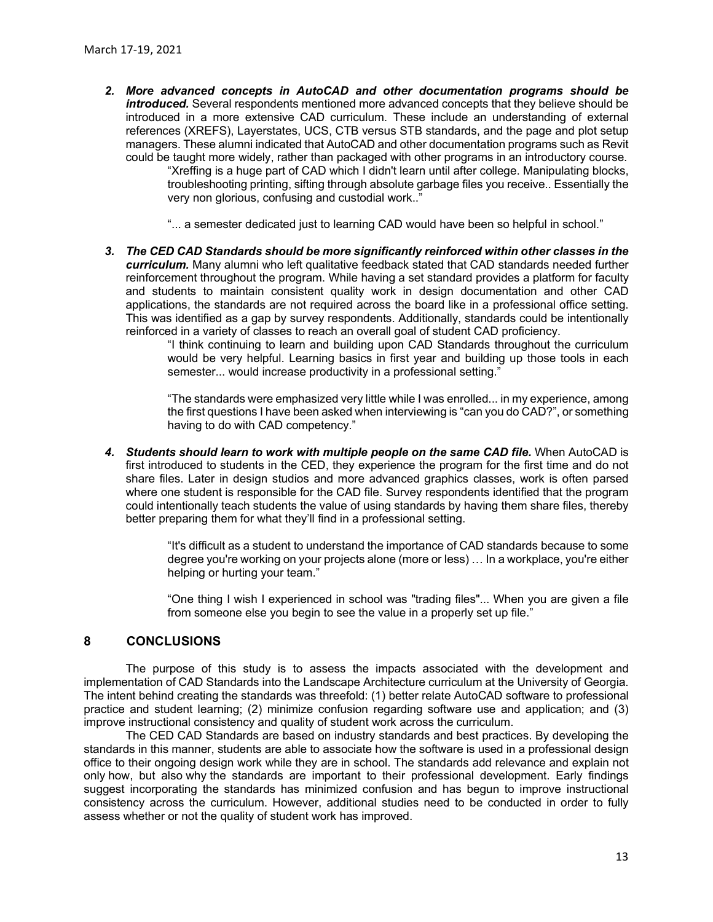- 2. More advanced concepts in AutoCAD and other documentation programs should be introduced. Several respondents mentioned more advanced concepts that they believe should be introduced in a more extensive CAD curriculum. These include an understanding of external references (XREFS), Layerstates, UCS, CTB versus STB standards, and the page and plot setup managers. These alumni indicated that AutoCAD and other documentation programs such as Revit could be taught more widely, rather than packaged with other programs in an introductory course. "Xreffing is a huge part of CAD which I didn't learn until after college. Manipulating blocks, troubleshooting printing, sifting through absolute garbage files you receive.. Essentially the very non glorious, confusing and custodial work.."
	- "... a semester dedicated just to learning CAD would have been so helpful in school."
- 3. The CED CAD Standards should be more significantly reinforced within other classes in the curriculum. Many alumni who left qualitative feedback stated that CAD standards needed further reinforcement throughout the program. While having a set standard provides a platform for faculty and students to maintain consistent quality work in design documentation and other CAD applications, the standards are not required across the board like in a professional office setting. This was identified as a gap by survey respondents. Additionally, standards could be intentionally reinforced in a variety of classes to reach an overall goal of student CAD proficiency.

"I think continuing to learn and building upon CAD Standards throughout the curriculum would be very helpful. Learning basics in first year and building up those tools in each semester... would increase productivity in a professional setting."

"The standards were emphasized very little while I was enrolled... in my experience, among the first questions I have been asked when interviewing is "can you do CAD?", or something having to do with CAD competency."

4. Students should learn to work with multiple people on the same CAD file. When AutoCAD is first introduced to students in the CED, they experience the program for the first time and do not share files. Later in design studios and more advanced graphics classes, work is often parsed where one student is responsible for the CAD file. Survey respondents identified that the program could intentionally teach students the value of using standards by having them share files, thereby better preparing them for what they'll find in a professional setting.

> "It's difficult as a student to understand the importance of CAD standards because to some degree you're working on your projects alone (more or less) … In a workplace, you're either helping or hurting your team."

> "One thing I wish I experienced in school was "trading files"... When you are given a file from someone else you begin to see the value in a properly set up file."

#### 8 CONCLUSIONS

The purpose of this study is to assess the impacts associated with the development and implementation of CAD Standards into the Landscape Architecture curriculum at the University of Georgia. The intent behind creating the standards was threefold: (1) better relate AutoCAD software to professional practice and student learning; (2) minimize confusion regarding software use and application; and (3) improve instructional consistency and quality of student work across the curriculum.

The CED CAD Standards are based on industry standards and best practices. By developing the standards in this manner, students are able to associate how the software is used in a professional design office to their ongoing design work while they are in school. The standards add relevance and explain not only how, but also why the standards are important to their professional development. Early findings suggest incorporating the standards has minimized confusion and has begun to improve instructional consistency across the curriculum. However, additional studies need to be conducted in order to fully assess whether or not the quality of student work has improved.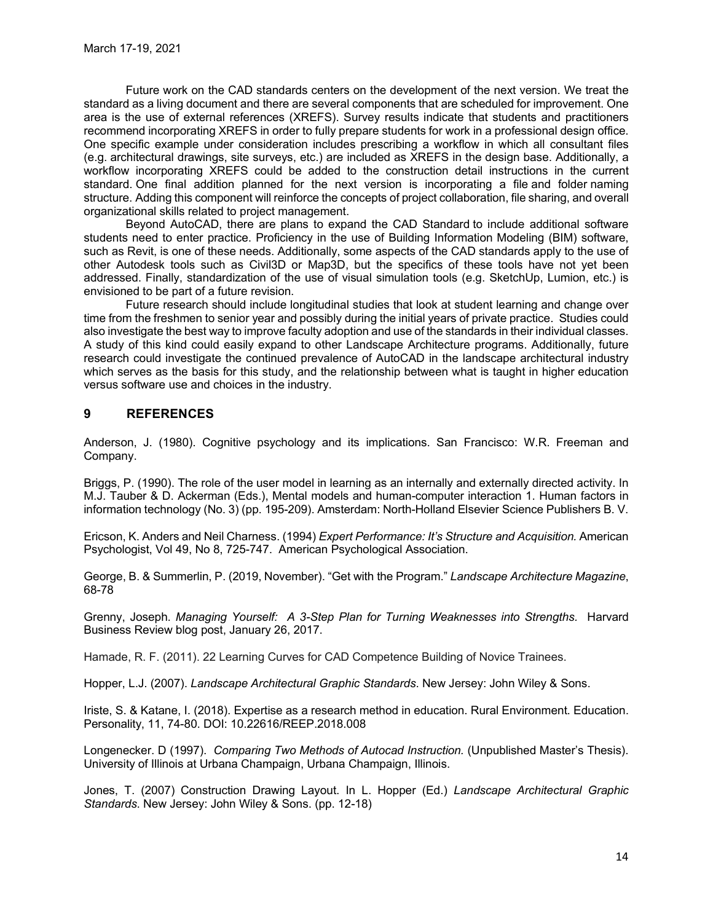Future work on the CAD standards centers on the development of the next version. We treat the standard as a living document and there are several components that are scheduled for improvement. One area is the use of external references (XREFS). Survey results indicate that students and practitioners recommend incorporating XREFS in order to fully prepare students for work in a professional design office. One specific example under consideration includes prescribing a workflow in which all consultant files March 17-19, 2021<br>
Future work on the CAD standards centers on the development of the next version. We treat the<br>
standard as a living document and there are several components that are scheduled for improvement. One<br>
star workflow incorporating XREFS could be added to the construction detail instructions in the current March 17-19, 2021<br>
Euture work on the CAD standards centers on the development of the next version. We treat the<br>
standard as a living document and there are several components that are scheduled for improvement. One<br>
stan Structure. Adding the component and the exerge several components that are shared as a living document and there are several components that are soleduled for innyovements components that an interaction are several compone organizational skills related to project management. March 17-19, 2021<br>
Future work on the CAD standards centers on the development of the next version. We treat the<br>standard as a living document and there are several components that are scheduled for improvement. One<br>stress

Beyond AutoCAD, there are plans to expand the CAD Standard to include additional software students need to enter practice. Proficiency in the use of Building Information Modeling (BIM) software, such as Revit, is one of these needs. Additionally, some aspects of the CAD standards apply to the use of other Autodesk tools such as Civil3D or Map3D, but the specifics of these tools have not yet been addressed. Finally, standardization of the use of visual simulation tools (e.g. SketchUp, Lumion, etc.) is envisioned to be part of a future revision.

Future research should include longitudinal studies that look at student learning and change over time from the freshmen to senior year and possibly during the initial years of private practice. Studies could also investigate the best way to improve faculty adoption and use of the standards in their individual classes. research could investigate the continued prevalence of AutoCAD in the landscape architectural industry which serves as the basis for this study, and the relationship between what is taught in higher education versus software use and choices in the industry.

## 9 REFERENCES

Anderson, J. (1980). Cognitive psychology and its implications. San Francisco: W.R. Freeman and Company.

Briggs, P. (1990). The role of the user model in learning as an internally and externally directed activity. In M.J. Tauber & D. Ackerman (Eds.), Mental models and human-computer interaction 1. Human factors in information technology (No. 3) (pp. 195-209). Amsterdam: North-Holland Elsevier Science Publishers B. V.

Ericson, K. Anders and Neil Charness. (1994) Expert Performance: It's Structure and Acquisition. American Psychologist, Vol 49, No 8, 725-747. American Psychological Association.

George, B. & Summerlin, P. (2019, November). "Get with the Program." Landscape Architecture Magazine, 68-78

Grenny, Joseph. Managing Yourself: A 3-Step Plan for Turning Weaknesses into Strengths. Harvard Business Review blog post, January 26, 2017.

Hamade, R. F. (2011). 22 Learning Curves for CAD Competence Building of Novice Trainees.

Hopper, L.J. (2007). Landscape Architectural Graphic Standards. New Jersey: John Wiley & Sons.

Iriste, S. & Katane, I. (2018). Expertise as a research method in education. Rural Environment. Education. Personality, 11, 74-80. DOI: 10.22616/REEP.2018.008

Longenecker. D (1997). Comparing Two Methods of Autocad Instruction. (Unpublished Master's Thesis). University of Illinois at Urbana Champaign, Urbana Champaign, Illinois.

Jones, T. (2007) Construction Drawing Layout. In L. Hopper (Ed.) Landscape Architectural Graphic Standards. New Jersey: John Wiley & Sons. (pp. 12-18)